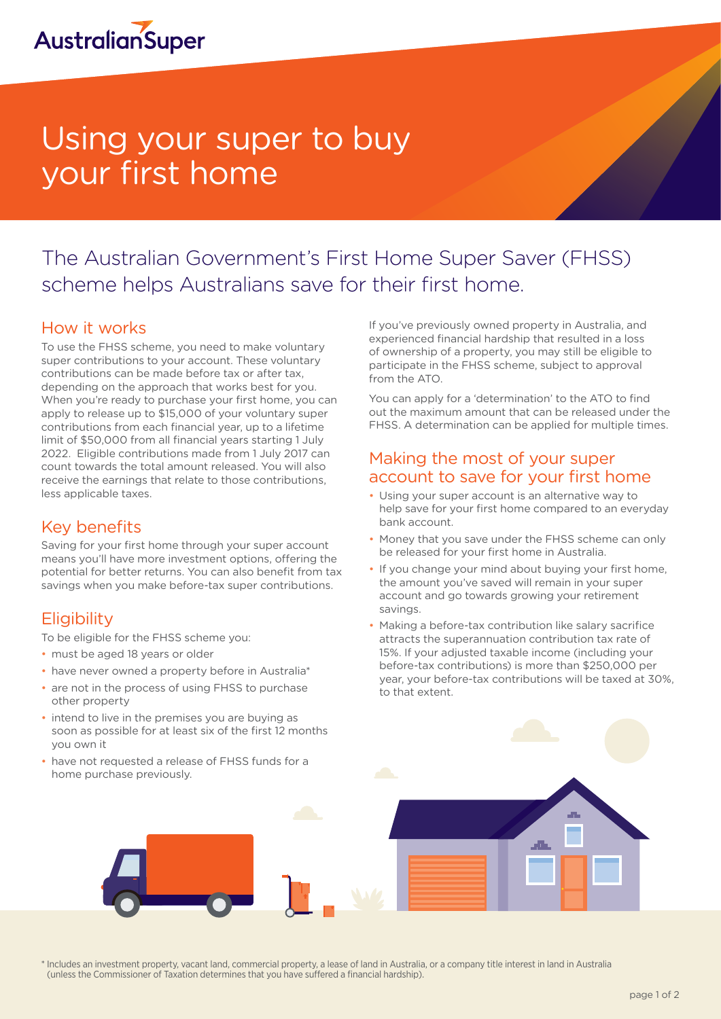

# Using your super to buy your first home

## The Australian Government's First Home Super Saver (FHSS) scheme helps Australians save for their first home.

#### How it works

To use the FHSS scheme, you need to make voluntary super contributions to your account. These voluntary contributions can be made before tax or after tax, depending on the approach that works best for you. When you're ready to purchase your first home, you can apply to release up to \$15,000 of your voluntary super contributions from each financial year, up to a lifetime limit of \$50,000 from all financial years starting 1 July 2022. Eligible contributions made from 1 July 2017 can count towards the total amount released. You will also receive the earnings that relate to those contributions, less applicable taxes.

#### Key benefits

Saving for your first home through your super account means you'll have more investment options, offering the potential for better returns. You can also benefit from tax savings when you make before-tax super contributions.

#### **Eligibility**

To be eligible for the FHSS scheme you:

- must be aged 18 years or older
- have never owned a property before in Australia\*
- are not in the process of using FHSS to purchase other property
- intend to live in the premises you are buying as soon as possible for at least six of the first 12 months you own it
- have not requested a release of FHSS funds for a home purchase previously.

If you've previously owned property in Australia, and experienced financial hardship that resulted in a loss of ownership of a property, you may still be eligible to participate in the FHSS scheme, subject to approval from the ATO.

You can apply for a 'determination' to the ATO to find out the maximum amount that can be released under the FHSS. A determination can be applied for multiple times.

#### Making the most of your super account to save for your first home

- Using your super account is an alternative way to help save for your first home compared to an everyday bank account.
- Money that you save under the FHSS scheme can only be released for your first home in Australia.
- If you change your mind about buying your first home, the amount you've saved will remain in your super account and go towards growing your retirement savings.
- Making a before-tax contribution like salary sacrifice attracts the superannuation contribution tax rate of 15%. If your adjusted taxable income (including your before-tax contributions) is more than \$250,000 per year, your before-tax contributions will be taxed at 30%, to that extent.

\* Includes an investment property, vacant land, commercial property, a lease of land in Australia, or a company title interest in land in Australia (unless the Commissioner of Taxation determines that you have suffered a financial hardship).